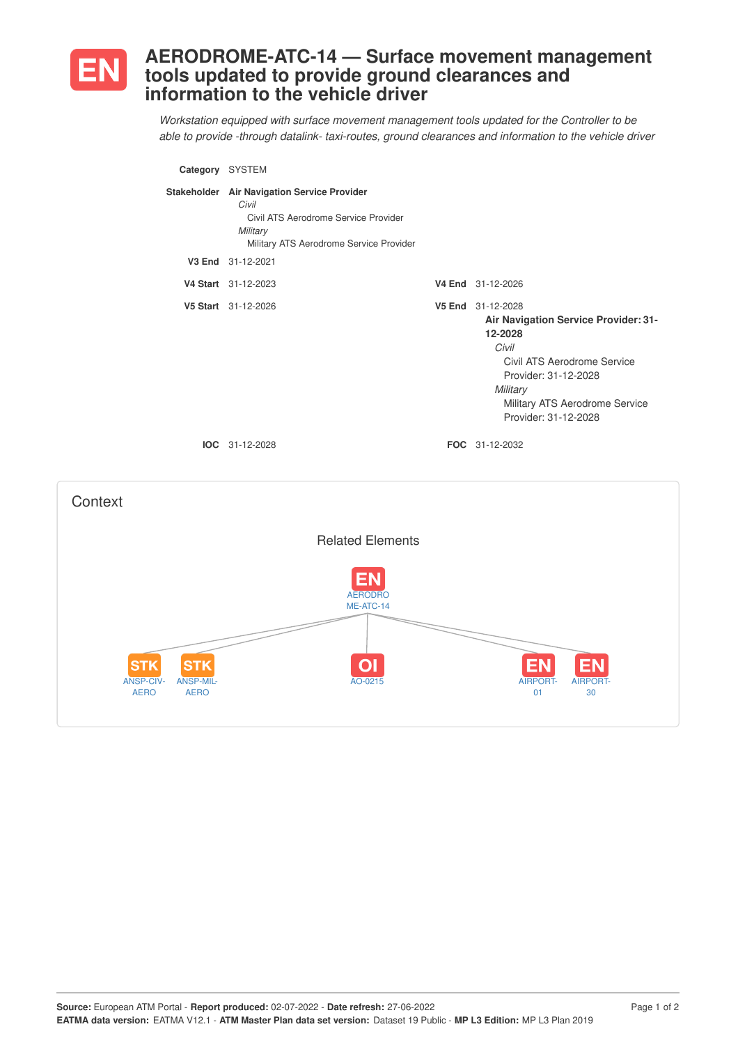

## **AERODROME-ATC-14 — Surface movement management tools updated to provide ground clearances and information to the vehicle driver**

*Workstation equipped with surface movement management tools updated for the Controller to be able to provide -through datalink- taxi-routes, ground clearances and information to the vehicle driver*

|                                                                                         | Category SYSTEM                                                                                                                                     |                                                                                                                                                                                                            |
|-----------------------------------------------------------------------------------------|-----------------------------------------------------------------------------------------------------------------------------------------------------|------------------------------------------------------------------------------------------------------------------------------------------------------------------------------------------------------------|
|                                                                                         | Stakeholder Air Navigation Service Provider<br>Civil<br>Civil ATS Aerodrome Service Provider<br>Military<br>Military ATS Aerodrome Service Provider |                                                                                                                                                                                                            |
|                                                                                         | V3 End 31-12-2021                                                                                                                                   |                                                                                                                                                                                                            |
|                                                                                         | V4 Start 31-12-2023                                                                                                                                 | V4 End 31-12-2026                                                                                                                                                                                          |
|                                                                                         | V5 Start 31-12-2026                                                                                                                                 | V5 End 31-12-2028<br>Air Navigation Service Provider: 31-<br>12-2028<br>Civil<br>Civil ATS Aerodrome Service<br>Provider: 31-12-2028<br>Military<br>Military ATS Aerodrome Service<br>Provider: 31-12-2028 |
|                                                                                         | IOC 31-12-2028                                                                                                                                      | FOC 31-12-2032                                                                                                                                                                                             |
| Context                                                                                 |                                                                                                                                                     |                                                                                                                                                                                                            |
|                                                                                         | <b>Related Elements</b>                                                                                                                             |                                                                                                                                                                                                            |
| <b>STK</b><br><b>STK</b><br><b>ANSP-CIV-</b><br>ANSP-MIL-<br><b>AERO</b><br><b>AERO</b> | <b>AERODRO</b><br>ME-ATC-14<br>AO-0215                                                                                                              | AIRPORT-<br>AIRPORT-<br>01<br>30                                                                                                                                                                           |